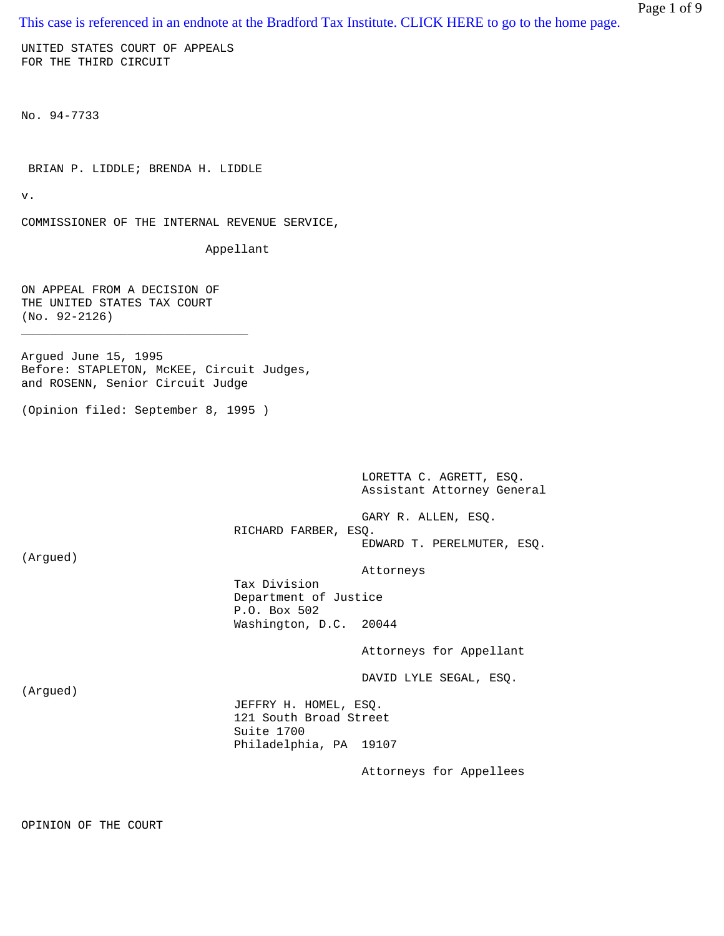[This case is referenced in an endnote at the Bradford Tax Institute. CLICK HERE to go to the home page.](http://www.bradfordtaxinstitute.com/)

UNITED STATES COURT OF APPEALS FOR THE THIRD CIRCUIT

No. 94-7733

BRIAN P. LIDDLE; BRENDA H. LIDDLE

v.

COMMISSIONER OF THE INTERNAL REVENUE SERVICE,

Appellant

ON APPEAL FROM A DECISION OF THE UNITED STATES TAX COURT (No. 92-2126)

\_\_\_\_\_\_\_\_\_\_\_\_\_\_\_\_\_\_\_\_\_\_\_\_\_\_\_\_\_\_\_\_

Argued June 15, 1995 Before: STAPLETON, McKEE, Circuit Judges, and ROSENN, Senior Circuit Judge

(Opinion filed: September 8, 1995 )

 LORETTA C. AGRETT, ESQ. Assistant Attorney General

 GARY R. ALLEN, ESQ. RICHARD FARBER, ESQ. EDWARD T. PERELMUTER, ESQ.

(Argued)

Attorneys

 Tax Division Department of Justice P.O. Box 502 Washington, D.C. 20044

Attorneys for Appellant

DAVID LYLE SEGAL, ESQ.

(Argued)

 JEFFRY H. HOMEL, ESQ. 121 South Broad Street Suite 1700 Philadelphia, PA 19107

Attorneys for Appellees

OPINION OF THE COURT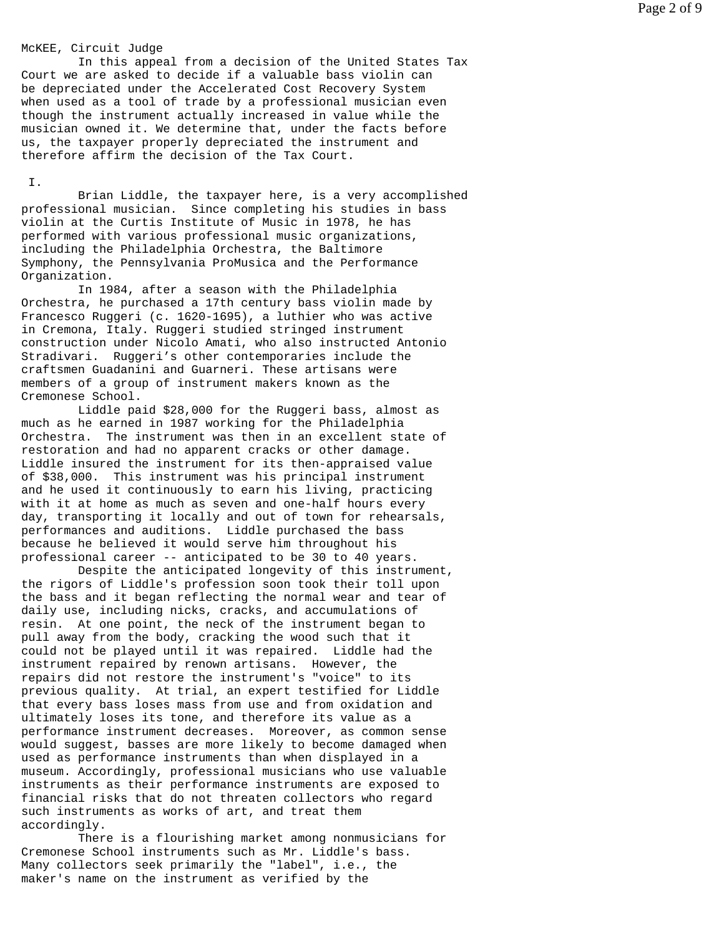#### McKEE, Circuit Judge

 In this appeal from a decision of the United States Tax Court we are asked to decide if a valuable bass violin can be depreciated under the Accelerated Cost Recovery System when used as a tool of trade by a professional musician even though the instrument actually increased in value while the musician owned it. We determine that, under the facts before us, the taxpayer properly depreciated the instrument and therefore affirm the decision of the Tax Court.

I.

 Brian Liddle, the taxpayer here, is a very accomplished professional musician. Since completing his studies in bass violin at the Curtis Institute of Music in 1978, he has performed with various professional music organizations, including the Philadelphia Orchestra, the Baltimore Symphony, the Pennsylvania ProMusica and the Performance Organization.

 In 1984, after a season with the Philadelphia Orchestra, he purchased a 17th century bass violin made by Francesco Ruggeri (c. 1620-1695), a luthier who was active in Cremona, Italy. Ruggeri studied stringed instrument construction under Nicolo Amati, who also instructed Antonio Stradivari. Ruggeri's other contemporaries include the craftsmen Guadanini and Guarneri. These artisans were members of a group of instrument makers known as the Cremonese School.

 Liddle paid \$28,000 for the Ruggeri bass, almost as much as he earned in 1987 working for the Philadelphia Orchestra. The instrument was then in an excellent state of restoration and had no apparent cracks or other damage. Liddle insured the instrument for its then-appraised value of \$38,000. This instrument was his principal instrument and he used it continuously to earn his living, practicing with it at home as much as seven and one-half hours every day, transporting it locally and out of town for rehearsals, performances and auditions. Liddle purchased the bass because he believed it would serve him throughout his professional career -- anticipated to be 30 to 40 years.

 Despite the anticipated longevity of this instrument, the rigors of Liddle's profession soon took their toll upon the bass and it began reflecting the normal wear and tear of daily use, including nicks, cracks, and accumulations of resin. At one point, the neck of the instrument began to pull away from the body, cracking the wood such that it could not be played until it was repaired. Liddle had the instrument repaired by renown artisans. However, the repairs did not restore the instrument's "voice" to its previous quality. At trial, an expert testified for Liddle that every bass loses mass from use and from oxidation and ultimately loses its tone, and therefore its value as a performance instrument decreases. Moreover, as common sense would suggest, basses are more likely to become damaged when used as performance instruments than when displayed in a museum. Accordingly, professional musicians who use valuable instruments as their performance instruments are exposed to financial risks that do not threaten collectors who regard such instruments as works of art, and treat them accordingly.

 There is a flourishing market among nonmusicians for Cremonese School instruments such as Mr. Liddle's bass. Many collectors seek primarily the "label", i.e., the maker's name on the instrument as verified by the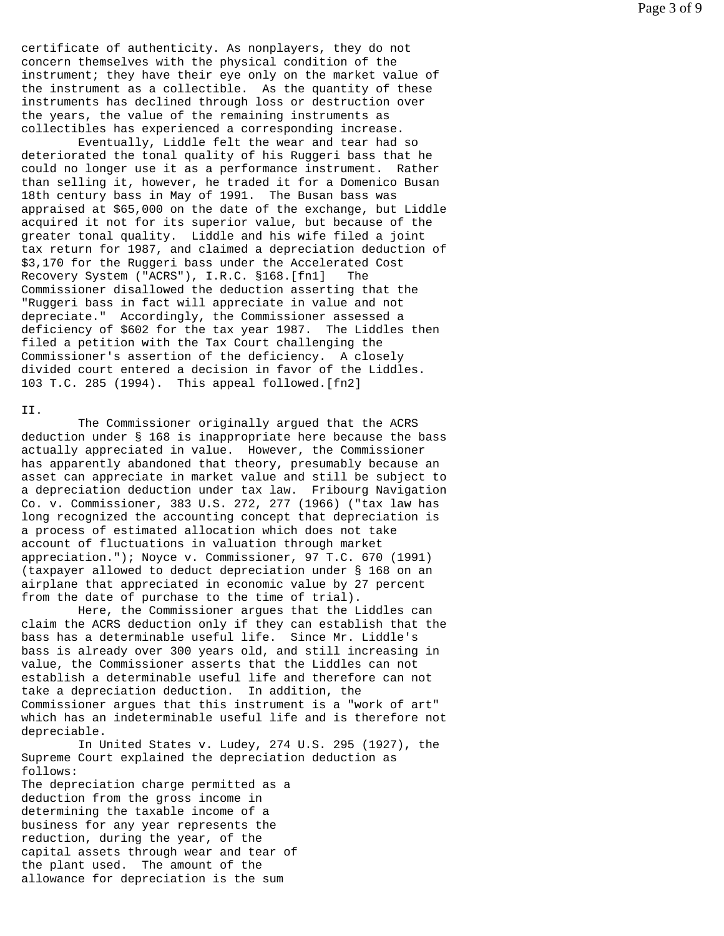certificate of authenticity. As nonplayers, they do not concern themselves with the physical condition of the instrument; they have their eye only on the market value of the instrument as a collectible. As the quantity of these instruments has declined through loss or destruction over the years, the value of the remaining instruments as collectibles has experienced a corresponding increase.

 Eventually, Liddle felt the wear and tear had so deteriorated the tonal quality of his Ruggeri bass that he could no longer use it as a performance instrument. Rather than selling it, however, he traded it for a Domenico Busan 18th century bass in May of 1991. The Busan bass was appraised at \$65,000 on the date of the exchange, but Liddle acquired it not for its superior value, but because of the greater tonal quality. Liddle and his wife filed a joint tax return for 1987, and claimed a depreciation deduction of \$3,170 for the Ruggeri bass under the Accelerated Cost Recovery System ("ACRS"), I.R.C. §168.[fn1] The Commissioner disallowed the deduction asserting that the "Ruggeri bass in fact will appreciate in value and not depreciate." Accordingly, the Commissioner assessed a deficiency of \$602 for the tax year 1987. The Liddles then filed a petition with the Tax Court challenging the Commissioner's assertion of the deficiency. A closely divided court entered a decision in favor of the Liddles. 103 T.C. 285 (1994). This appeal followed.[fn2]

# II.

 The Commissioner originally argued that the ACRS deduction under § 168 is inappropriate here because the bass actually appreciated in value. However, the Commissioner has apparently abandoned that theory, presumably because an asset can appreciate in market value and still be subject to a depreciation deduction under tax law. Fribourg Navigation Co. v. Commissioner, 383 U.S. 272, 277 (1966) ("tax law has long recognized the accounting concept that depreciation is a process of estimated allocation which does not take account of fluctuations in valuation through market appreciation."); Noyce v. Commissioner, 97 T.C. 670 (1991) (taxpayer allowed to deduct depreciation under § 168 on an airplane that appreciated in economic value by 27 percent from the date of purchase to the time of trial).

 Here, the Commissioner argues that the Liddles can claim the ACRS deduction only if they can establish that the bass has a determinable useful life. Since Mr. Liddle's bass is already over 300 years old, and still increasing in value, the Commissioner asserts that the Liddles can not establish a determinable useful life and therefore can not take a depreciation deduction. In addition, the Commissioner argues that this instrument is a "work of art" which has an indeterminable useful life and is therefore not depreciable.

 In United States v. Ludey, 274 U.S. 295 (1927), the Supreme Court explained the depreciation deduction as follows: The depreciation charge permitted as a

deduction from the gross income in determining the taxable income of a business for any year represents the reduction, during the year, of the capital assets through wear and tear of the plant used. The amount of the allowance for depreciation is the sum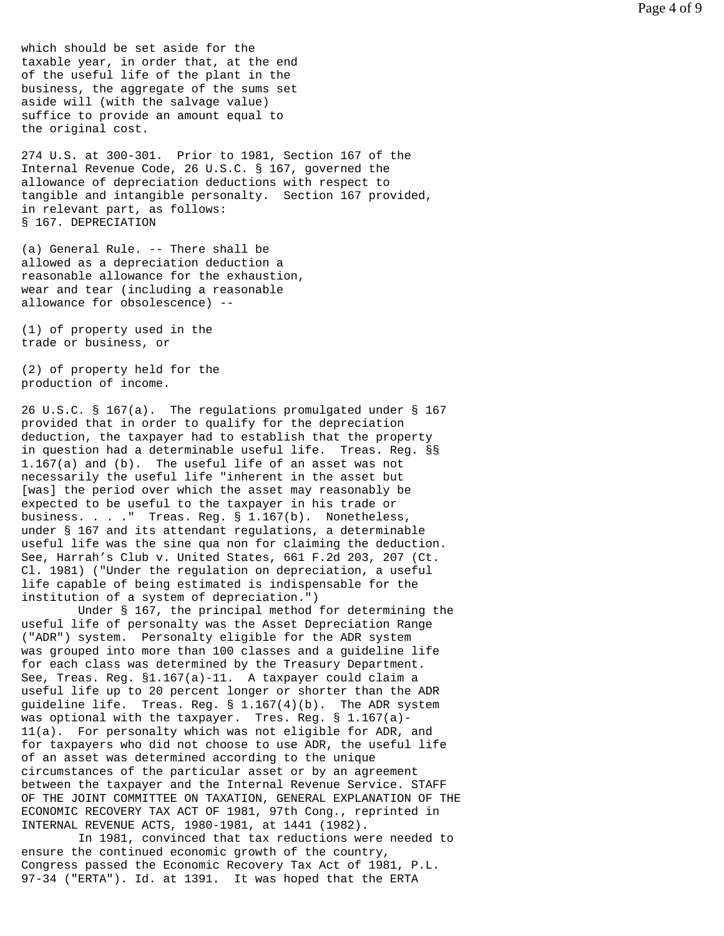which should be set aside for the taxable year, in order that, at the end of the useful life of the plant in the business, the aggregate of the sums set aside will (with the salvage value) suffice to provide an amount equal to the original cost.

274 U.S. at 300-301. Prior to 1981, Section 167 of the Internal Revenue Code, 26 U.S.C. § 167, governed the allowance of depreciation deductions with respect to tangible and intangible personalty. Section 167 provided, in relevant part, as follows: § 167. DEPRECIATION

(a) General Rule. -- There shall be allowed as a depreciation deduction a reasonable allowance for the exhaustion, wear and tear (including a reasonable allowance for obsolescence) --

(1) of property used in the trade or business, or

(2) of property held for the production of income.

26 U.S.C. § 167(a). The regulations promulgated under § 167 provided that in order to qualify for the depreciation deduction, the taxpayer had to establish that the property in question had a determinable useful life. Treas. Reg. §§ 1.167(a) and (b). The useful life of an asset was not necessarily the useful life "inherent in the asset but [was] the period over which the asset may reasonably be expected to be useful to the taxpayer in his trade or business. . . ." Treas. Reg. § 1.167(b). Nonetheless, under § 167 and its attendant regulations, a determinable useful life was the sine qua non for claiming the deduction. See, Harrah's Club v. United States, 661 F.2d 203, 207 (Ct. Cl. 1981) ("Under the regulation on depreciation, a useful life capable of being estimated is indispensable for the institution of a system of depreciation.")

 Under § 167, the principal method for determining the useful life of personalty was the Asset Depreciation Range ("ADR") system. Personalty eligible for the ADR system was grouped into more than 100 classes and a guideline life for each class was determined by the Treasury Department. See, Treas. Reg. §1.167(a)-11. A taxpayer could claim a useful life up to 20 percent longer or shorter than the ADR quideline life. Treas. Req.  $\S$  1.167(4)(b). The ADR system was optional with the taxpayer. Tres. Reg. § 1.167(a)- 11(a). For personalty which was not eligible for ADR, and for taxpayers who did not choose to use ADR, the useful life of an asset was determined according to the unique circumstances of the particular asset or by an agreement between the taxpayer and the Internal Revenue Service. STAFF OF THE JOINT COMMITTEE ON TAXATION, GENERAL EXPLANATION OF THE ECONOMIC RECOVERY TAX ACT OF 1981, 97th Cong., reprinted in INTERNAL REVENUE ACTS, 1980-1981, at 1441 (1982).

 In 1981, convinced that tax reductions were needed to ensure the continued economic growth of the country, Congress passed the Economic Recovery Tax Act of 1981, P.L. 97-34 ("ERTA"). Id. at 1391. It was hoped that the ERTA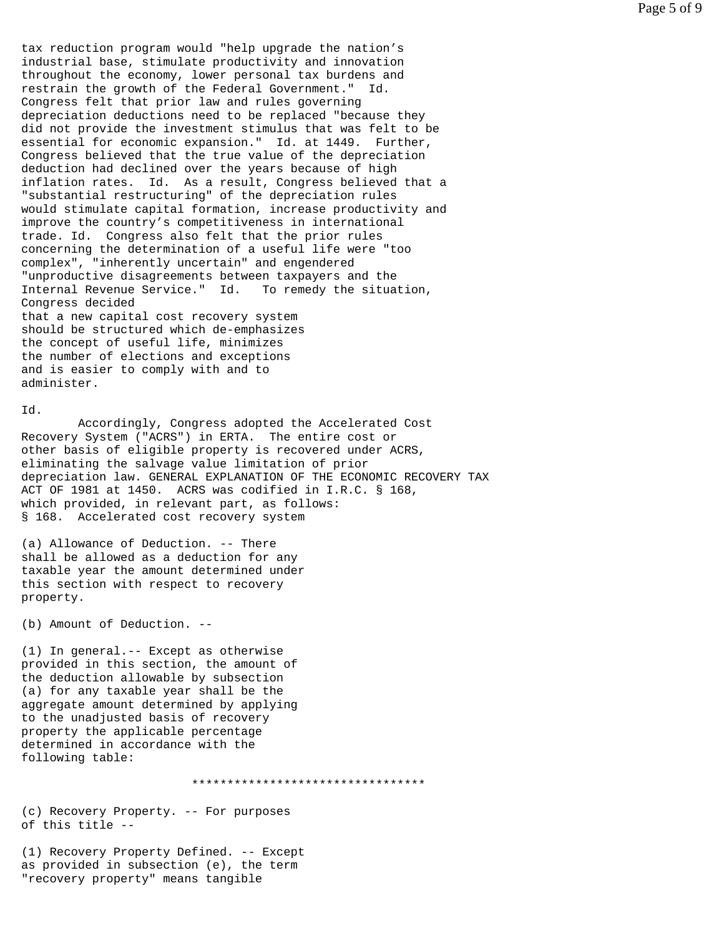tax reduction program would "help upgrade the nation's industrial base, stimulate productivity and innovation throughout the economy, lower personal tax burdens and restrain the growth of the Federal Government." Id. Congress felt that prior law and rules governing depreciation deductions need to be replaced "because they did not provide the investment stimulus that was felt to be essential for economic expansion." Id. at 1449. Further, Congress believed that the true value of the depreciation deduction had declined over the years because of high inflation rates. Id. As a result, Congress believed that a "substantial restructuring" of the depreciation rules would stimulate capital formation, increase productivity and improve the country's competitiveness in international trade. Id. Congress also felt that the prior rules concerning the determination of a useful life were "too complex", "inherently uncertain" and engendered "unproductive disagreements between taxpayers and the Internal Revenue Service." Id. To remedy the situation, Congress decided that a new capital cost recovery system should be structured which de-emphasizes the concept of useful life, minimizes the number of elections and exceptions and is easier to comply with and to administer.

## Id.

 Accordingly, Congress adopted the Accelerated Cost Recovery System ("ACRS") in ERTA. The entire cost or other basis of eligible property is recovered under ACRS, eliminating the salvage value limitation of prior depreciation law. GENERAL EXPLANATION OF THE ECONOMIC RECOVERY TAX ACT OF 1981 at 1450. ACRS was codified in I.R.C. § 168, which provided, in relevant part, as follows: § 168. Accelerated cost recovery system

(a) Allowance of Deduction. -- There shall be allowed as a deduction for any taxable year the amount determined under this section with respect to recovery property.

(b) Amount of Deduction. --

(1) In general.-- Except as otherwise provided in this section, the amount of the deduction allowable by subsection (a) for any taxable year shall be the aggregate amount determined by applying to the unadjusted basis of recovery property the applicable percentage determined in accordance with the following table:

\*\*\*\*\*\*\*\*\*\*\*\*\*\*\*\*\*\*\*\*\*\*\*\*\*\*\*\*\*\*\*\*\*

(c) Recovery Property. -- For purposes of this title --

(1) Recovery Property Defined. -- Except as provided in subsection (e), the term "recovery property" means tangible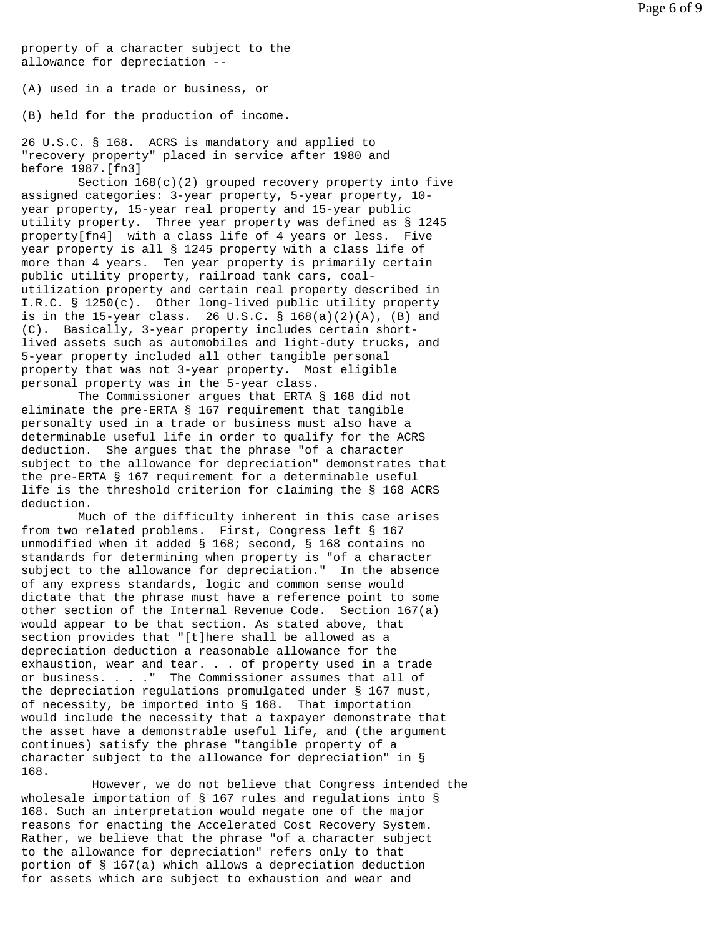property of a character subject to the allowance for depreciation --

(A) used in a trade or business, or

(B) held for the production of income.

26 U.S.C. § 168. ACRS is mandatory and applied to "recovery property" placed in service after 1980 and before 1987.[fn3]

 Section 168(c)(2) grouped recovery property into five assigned categories: 3-year property, 5-year property, 10 year property, 15-year real property and 15-year public utility property. Three year property was defined as § 1245 property[fn4] with a class life of 4 years or less. Five year property is all § 1245 property with a class life of more than 4 years. Ten year property is primarily certain public utility property, railroad tank cars, coalutilization property and certain real property described in I.R.C. § 1250(c). Other long-lived public utility property is in the 15-year class. 26 U.S.C. § 168(a)(2)(A), (B) and (C). Basically, 3-year property includes certain shortlived assets such as automobiles and light-duty trucks, and 5-year property included all other tangible personal property that was not 3-year property. Most eligible personal property was in the 5-year class.

 The Commissioner argues that ERTA § 168 did not eliminate the pre-ERTA § 167 requirement that tangible personalty used in a trade or business must also have a determinable useful life in order to qualify for the ACRS deduction. She argues that the phrase "of a character subject to the allowance for depreciation" demonstrates that the pre-ERTA § 167 requirement for a determinable useful life is the threshold criterion for claiming the § 168 ACRS deduction.

 Much of the difficulty inherent in this case arises from two related problems. First, Congress left § 167 unmodified when it added § 168; second, § 168 contains no standards for determining when property is "of a character subject to the allowance for depreciation." In the absence of any express standards, logic and common sense would dictate that the phrase must have a reference point to some other section of the Internal Revenue Code. Section 167(a) would appear to be that section. As stated above, that section provides that "[t]here shall be allowed as a depreciation deduction a reasonable allowance for the exhaustion, wear and tear. . . of property used in a trade or business. . . ." The Commissioner assumes that all of the depreciation regulations promulgated under § 167 must, of necessity, be imported into § 168. That importation would include the necessity that a taxpayer demonstrate that the asset have a demonstrable useful life, and (the argument continues) satisfy the phrase "tangible property of a character subject to the allowance for depreciation" in § 168.

 However, we do not believe that Congress intended the wholesale importation of § 167 rules and regulations into § 168. Such an interpretation would negate one of the major reasons for enacting the Accelerated Cost Recovery System. Rather, we believe that the phrase "of a character subject to the allowance for depreciation" refers only to that portion of § 167(a) which allows a depreciation deduction for assets which are subject to exhaustion and wear and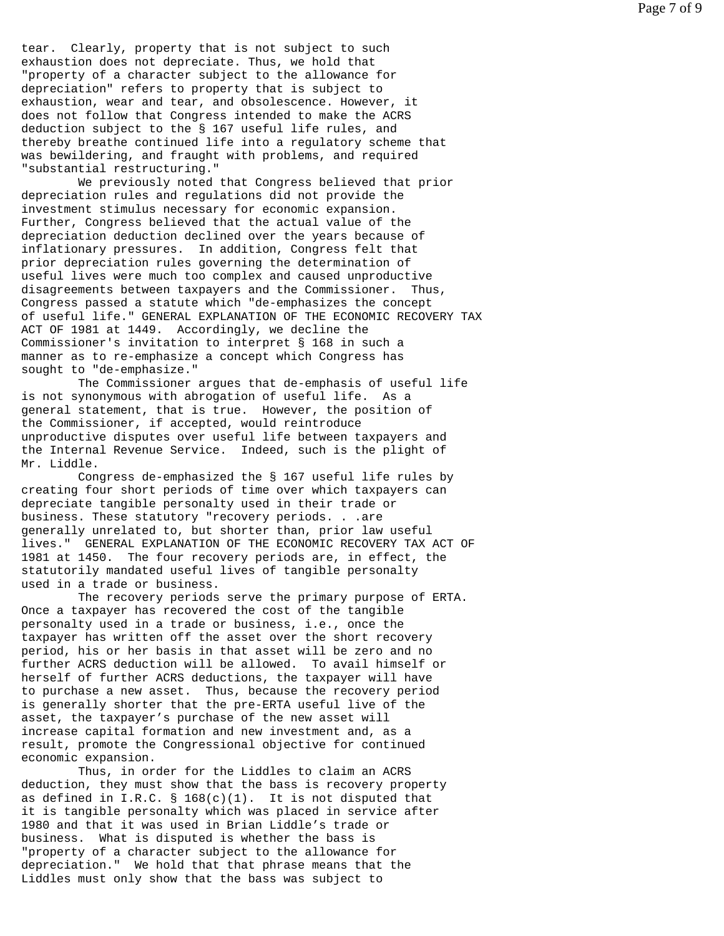tear. Clearly, property that is not subject to such exhaustion does not depreciate. Thus, we hold that "property of a character subject to the allowance for depreciation" refers to property that is subject to exhaustion, wear and tear, and obsolescence. However, it does not follow that Congress intended to make the ACRS deduction subject to the § 167 useful life rules, and thereby breathe continued life into a regulatory scheme that was bewildering, and fraught with problems, and required "substantial restructuring."

 We previously noted that Congress believed that prior depreciation rules and regulations did not provide the investment stimulus necessary for economic expansion. Further, Congress believed that the actual value of the depreciation deduction declined over the years because of inflationary pressures. In addition, Congress felt that prior depreciation rules governing the determination of useful lives were much too complex and caused unproductive disagreements between taxpayers and the Commissioner. Thus, Congress passed a statute which "de-emphasizes the concept of useful life." GENERAL EXPLANATION OF THE ECONOMIC RECOVERY TAX ACT OF 1981 at 1449. Accordingly, we decline the Commissioner's invitation to interpret § 168 in such a manner as to re-emphasize a concept which Congress has sought to "de-emphasize."

 The Commissioner argues that de-emphasis of useful life is not synonymous with abrogation of useful life. As a general statement, that is true. However, the position of the Commissioner, if accepted, would reintroduce unproductive disputes over useful life between taxpayers and the Internal Revenue Service. Indeed, such is the plight of Mr. Liddle.

 Congress de-emphasized the § 167 useful life rules by creating four short periods of time over which taxpayers can depreciate tangible personalty used in their trade or business. These statutory "recovery periods. . .are generally unrelated to, but shorter than, prior law useful lives." GENERAL EXPLANATION OF THE ECONOMIC RECOVERY TAX ACT OF 1981 at 1450. The four recovery periods are, in effect, the statutorily mandated useful lives of tangible personalty used in a trade or business.

 The recovery periods serve the primary purpose of ERTA. Once a taxpayer has recovered the cost of the tangible personalty used in a trade or business, i.e., once the taxpayer has written off the asset over the short recovery period, his or her basis in that asset will be zero and no further ACRS deduction will be allowed. To avail himself or herself of further ACRS deductions, the taxpayer will have to purchase a new asset. Thus, because the recovery period is generally shorter that the pre-ERTA useful live of the asset, the taxpayer's purchase of the new asset will increase capital formation and new investment and, as a result, promote the Congressional objective for continued economic expansion.

 Thus, in order for the Liddles to claim an ACRS deduction, they must show that the bass is recovery property as defined in I.R.C. § 168(c)(1). It is not disputed that it is tangible personalty which was placed in service after 1980 and that it was used in Brian Liddle's trade or business. What is disputed is whether the bass is "property of a character subject to the allowance for depreciation." We hold that that phrase means that the Liddles must only show that the bass was subject to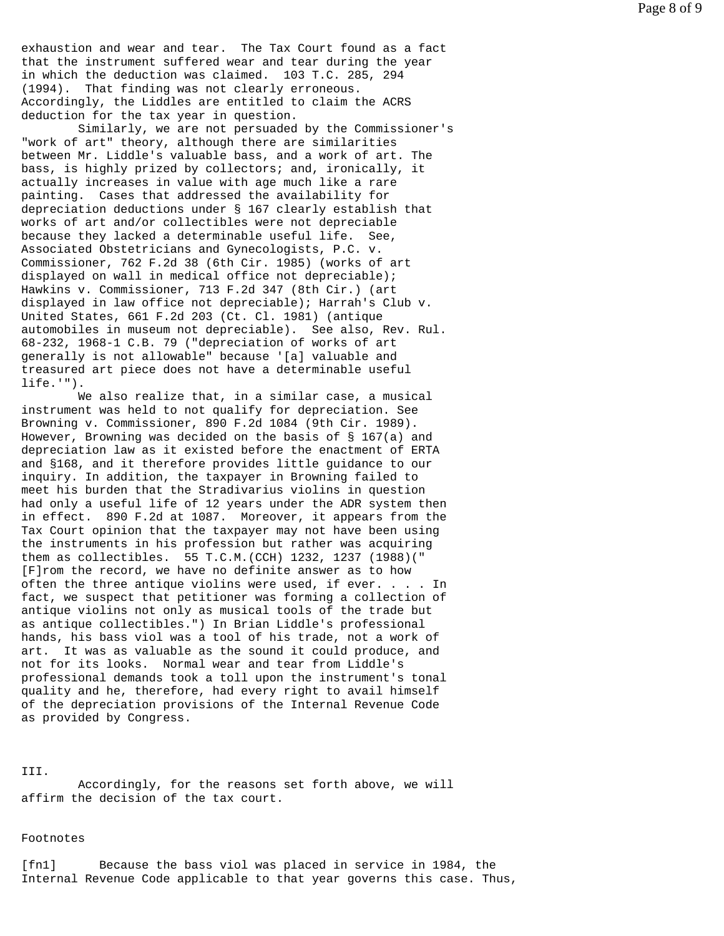exhaustion and wear and tear. The Tax Court found as a fact that the instrument suffered wear and tear during the year in which the deduction was claimed. 103 T.C. 285, 294 (1994). That finding was not clearly erroneous. Accordingly, the Liddles are entitled to claim the ACRS deduction for the tax year in question.

 Similarly, we are not persuaded by the Commissioner's "work of art" theory, although there are similarities between Mr. Liddle's valuable bass, and a work of art. The bass, is highly prized by collectors; and, ironically, it actually increases in value with age much like a rare painting. Cases that addressed the availability for depreciation deductions under § 167 clearly establish that works of art and/or collectibles were not depreciable because they lacked a determinable useful life. See, Associated Obstetricians and Gynecologists, P.C. v. Commissioner, 762 F.2d 38 (6th Cir. 1985) (works of art displayed on wall in medical office not depreciable); Hawkins v. Commissioner, 713 F.2d 347 (8th Cir.) (art displayed in law office not depreciable); Harrah's Club v. United States, 661 F.2d 203 (Ct. Cl. 1981) (antique automobiles in museum not depreciable). See also, Rev. Rul. 68-232, 1968-1 C.B. 79 ("depreciation of works of art generally is not allowable" because '[a] valuable and treasured art piece does not have a determinable useful life.'").

 We also realize that, in a similar case, a musical instrument was held to not qualify for depreciation. See Browning v. Commissioner, 890 F.2d 1084 (9th Cir. 1989). However, Browning was decided on the basis of § 167(a) and depreciation law as it existed before the enactment of ERTA and §168, and it therefore provides little guidance to our inquiry. In addition, the taxpayer in Browning failed to meet his burden that the Stradivarius violins in question had only a useful life of 12 years under the ADR system then in effect. 890 F.2d at 1087. Moreover, it appears from the Tax Court opinion that the taxpayer may not have been using the instruments in his profession but rather was acquiring them as collectibles. 55 T.C.M.(CCH) 1232, 1237 (1988)(" [F]rom the record, we have no definite answer as to how often the three antique violins were used, if ever. . . . In fact, we suspect that petitioner was forming a collection of antique violins not only as musical tools of the trade but as antique collectibles.") In Brian Liddle's professional hands, his bass viol was a tool of his trade, not a work of art. It was as valuable as the sound it could produce, and not for its looks. Normal wear and tear from Liddle's professional demands took a toll upon the instrument's tonal quality and he, therefore, had every right to avail himself of the depreciation provisions of the Internal Revenue Code as provided by Congress.

### III.

 Accordingly, for the reasons set forth above, we will affirm the decision of the tax court.

### Footnotes

[fn1] Because the bass viol was placed in service in 1984, the Internal Revenue Code applicable to that year governs this case. Thus,